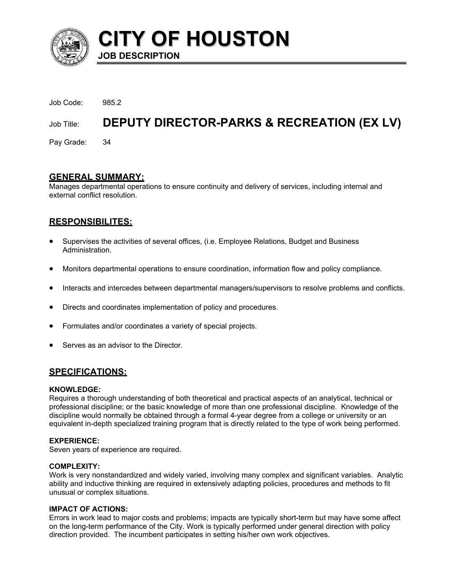

**CITY OF HOUSTON**

Job Code: 985.2 Job Title: DEPUTY DIRECTOR-PARKS & RECREATION (EX LV)

Pay Grade: 34

## **GENERAL SUMMARY:**

**JOB DESCRIPTION** 

Manages departmental operations to ensure continuity and delivery of services, including internal and external conflict resolution.

# **RESPONSIBILITES:**

- Supervises the activities of several offices, (i.e. Employee Relations, Budget and Business Administration.
- Monitors departmental operations to ensure coordination, information flow and policy compliance.
- Interacts and intercedes between departmental managers/supervisors to resolve problems and conflicts.
- Directs and coordinates implementation of policy and procedures.
- Formulates and/or coordinates a variety of special projects.
- Serves as an advisor to the Director.

# **SPECIFICATIONS:**

#### **KNOWLEDGE:**

Requires a thorough understanding of both theoretical and practical aspects of an analytical, technical or professional discipline; or the basic knowledge of more than one professional discipline. Knowledge of the discipline would normally be obtained through a formal 4-year degree from a college or university or an equivalent in-depth specialized training program that is directly related to the type of work being performed.

#### **EXPERIENCE:**

Seven years of experience are required.

#### **COMPLEXITY:**

Work is very nonstandardized and widely varied, involving many complex and significant variables. Analytic ability and inductive thinking are required in extensively adapting policies, procedures and methods to fit unusual or complex situations.

#### **IMPACT OF ACTIONS:**

Errors in work lead to major costs and problems; impacts are typically short-term but may have some affect on the long-term performance of the City. Work is typically performed under general direction with policy direction provided. The incumbent participates in setting his/her own work objectives.